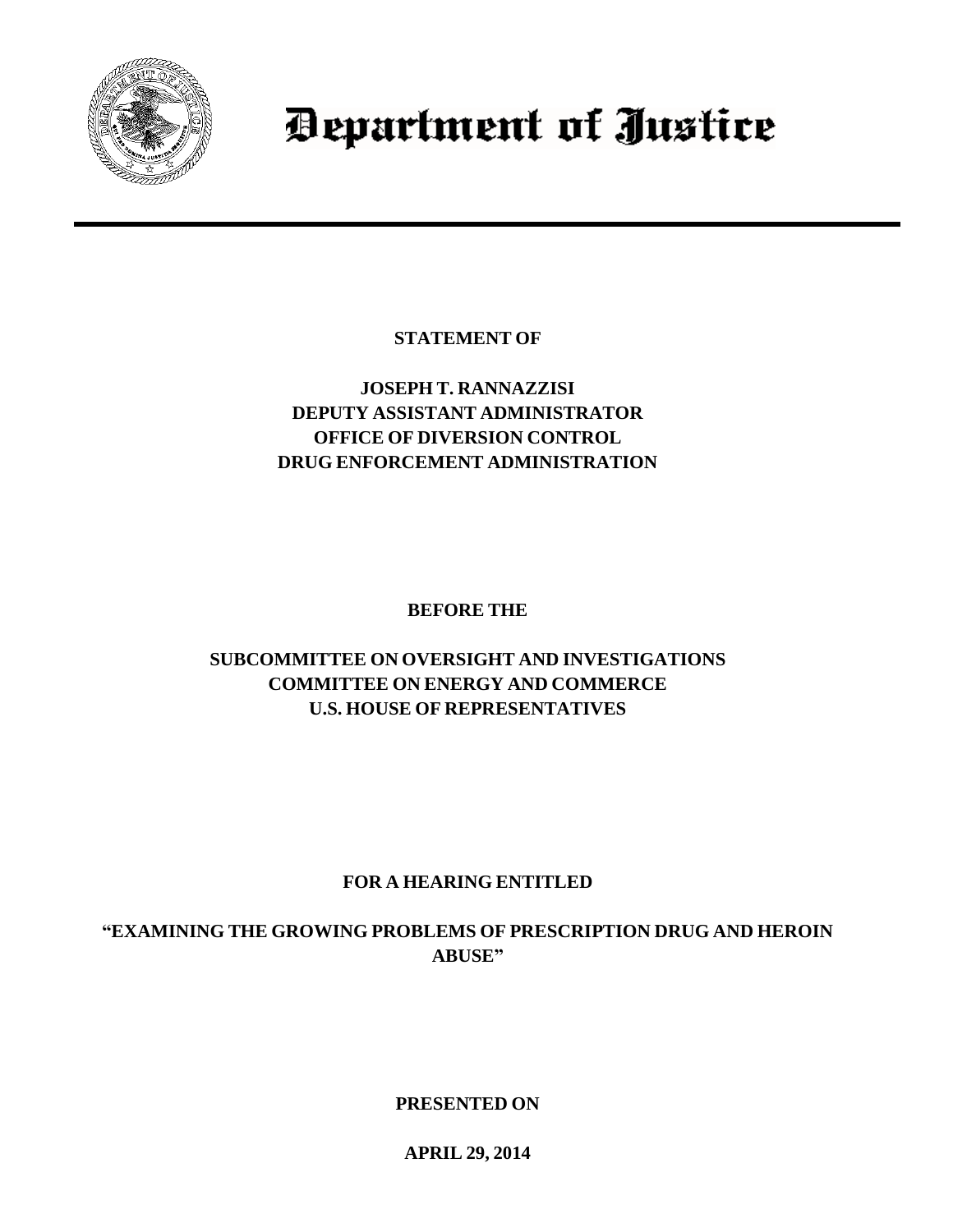

# Department of Justice

**STATEMENT OF**

## **JOSEPH T. RANNAZZISI DEPUTY ASSISTANT ADMINISTRATOR OFFICE OF DIVERSION CONTROL DRUG ENFORCEMENT ADMINISTRATION**

**BEFORE THE**

# **SUBCOMMITTEE ON OVERSIGHT AND INVESTIGATIONS COMMITTEE ON ENERGY AND COMMERCE U.S. HOUSE OF REPRESENTATIVES**

# **FOR A HEARING ENTITLED**

**"EXAMINING THE GROWING PROBLEMS OF PRESCRIPTION DRUG AND HEROIN ABUSE"**

**PRESENTED ON**

**APRIL 29, 2014**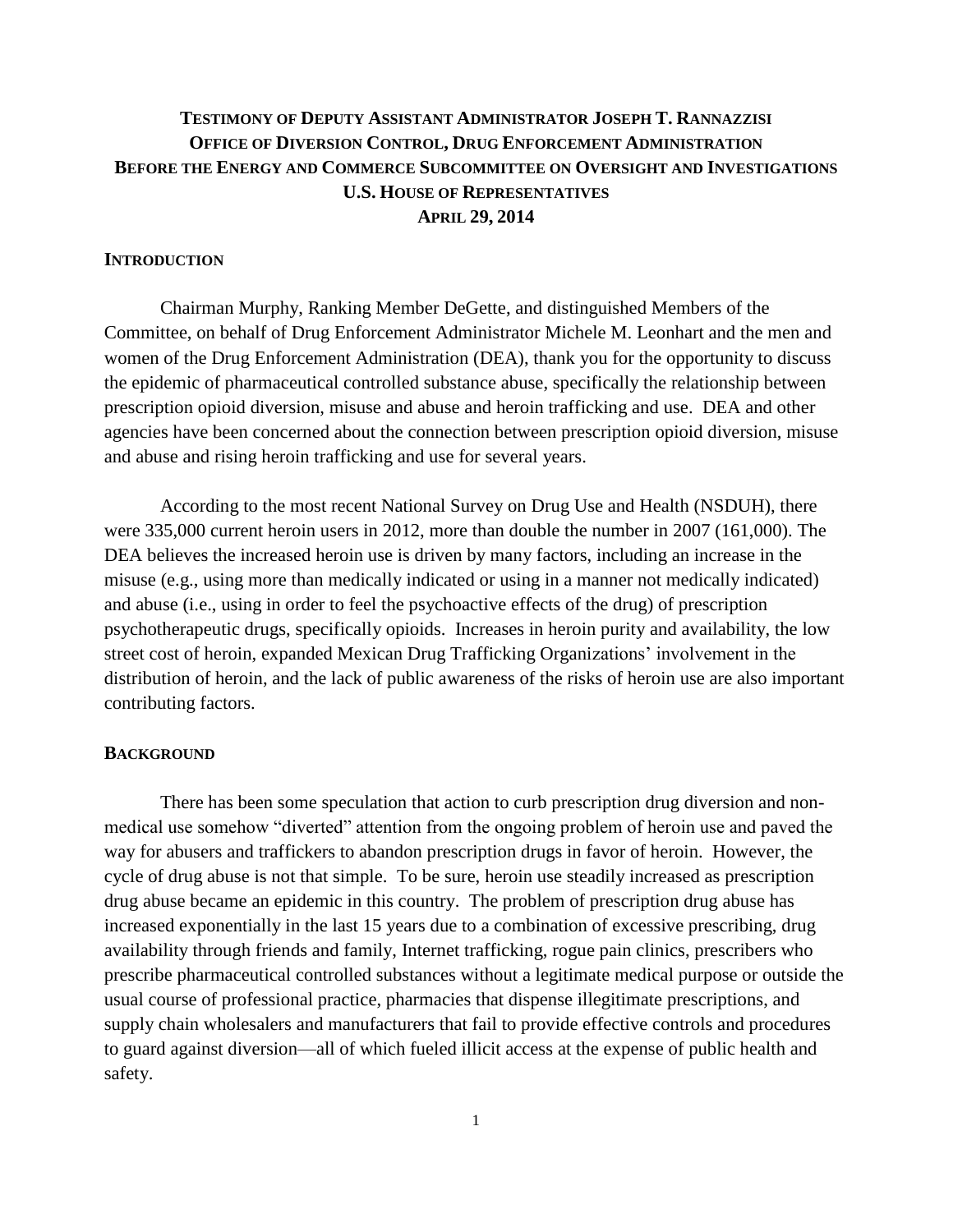## **TESTIMONY OF DEPUTY ASSISTANT ADMINISTRATOR JOSEPH T. RANNAZZISI OFFICE OF DIVERSION CONTROL, DRUG ENFORCEMENT ADMINISTRATION BEFORE THE ENERGY AND COMMERCE SUBCOMMITTEE ON OVERSIGHT AND INVESTIGATIONS U.S. HOUSE OF REPRESENTATIVES APRIL 29, 2014**

## **INTRODUCTION**

Chairman Murphy, Ranking Member DeGette, and distinguished Members of the Committee, on behalf of Drug Enforcement Administrator Michele M. Leonhart and the men and women of the Drug Enforcement Administration (DEA), thank you for the opportunity to discuss the epidemic of pharmaceutical controlled substance abuse, specifically the relationship between prescription opioid diversion, misuse and abuse and heroin trafficking and use. DEA and other agencies have been concerned about the connection between prescription opioid diversion, misuse and abuse and rising heroin trafficking and use for several years.

According to the most recent National Survey on Drug Use and Health (NSDUH), there were 335,000 current heroin users in 2012, more than double the number in 2007 (161,000). The DEA believes the increased heroin use is driven by many factors, including an increase in the misuse (e.g., using more than medically indicated or using in a manner not medically indicated) and abuse (i.e., using in order to feel the psychoactive effects of the drug) of prescription psychotherapeutic drugs, specifically opioids. Increases in heroin purity and availability, the low street cost of heroin, expanded Mexican Drug Trafficking Organizations' involvement in the distribution of heroin, and the lack of public awareness of the risks of heroin use are also important contributing factors.

## **BACKGROUND**

There has been some speculation that action to curb prescription drug diversion and nonmedical use somehow "diverted" attention from the ongoing problem of heroin use and paved the way for abusers and traffickers to abandon prescription drugs in favor of heroin. However, the cycle of drug abuse is not that simple. To be sure, heroin use steadily increased as prescription drug abuse became an epidemic in this country. The problem of prescription drug abuse has increased exponentially in the last 15 years due to a combination of excessive prescribing, drug availability through friends and family, Internet trafficking, rogue pain clinics, prescribers who prescribe pharmaceutical controlled substances without a legitimate medical purpose or outside the usual course of professional practice, pharmacies that dispense illegitimate prescriptions, and supply chain wholesalers and manufacturers that fail to provide effective controls and procedures to guard against diversion—all of which fueled illicit access at the expense of public health and safety.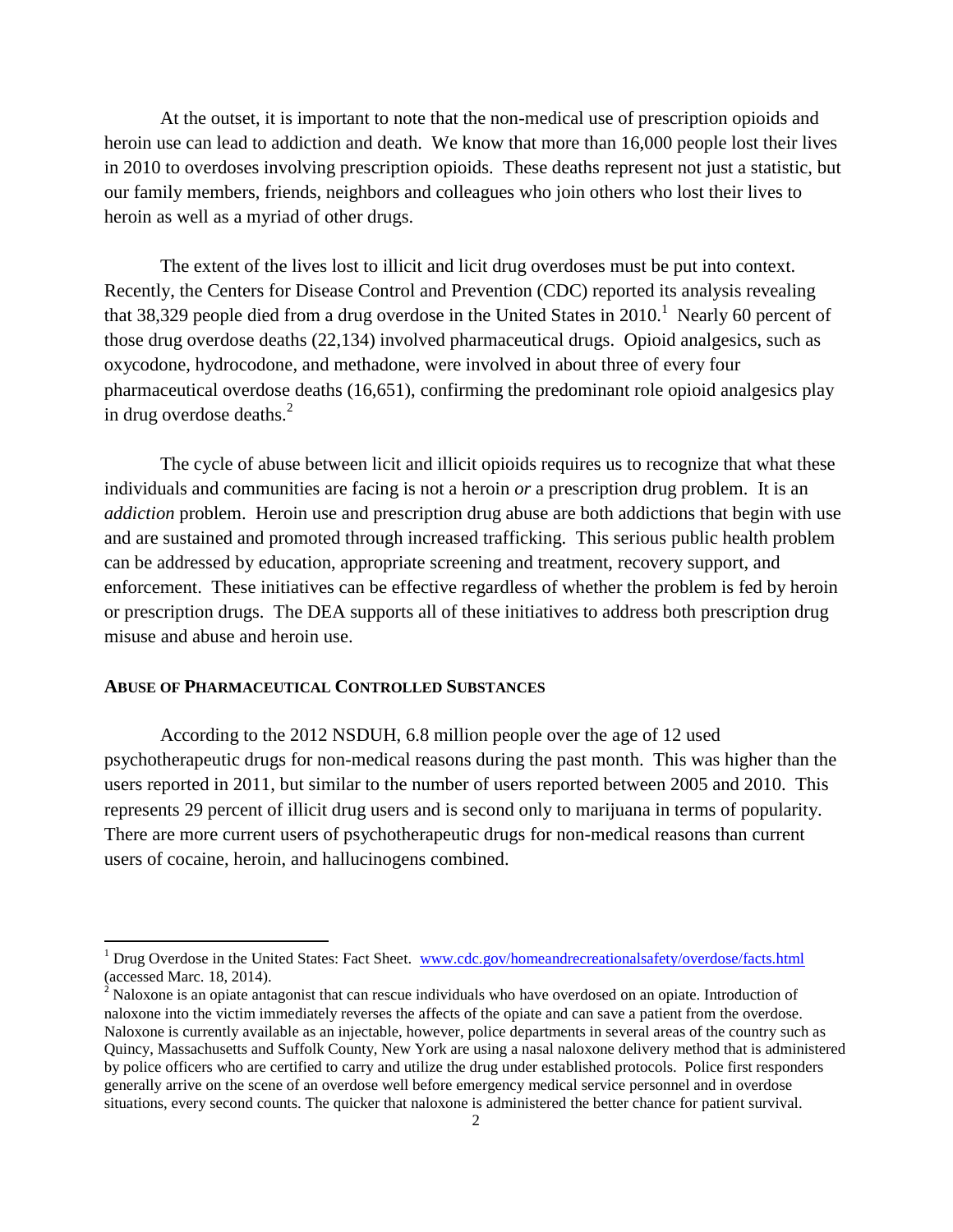At the outset, it is important to note that the non-medical use of prescription opioids and heroin use can lead to addiction and death. We know that more than 16,000 people lost their lives in 2010 to overdoses involving prescription opioids. These deaths represent not just a statistic, but our family members, friends, neighbors and colleagues who join others who lost their lives to heroin as well as a myriad of other drugs.

The extent of the lives lost to illicit and licit drug overdoses must be put into context. Recently, the Centers for Disease Control and Prevention (CDC) reported its analysis revealing that 38,329 people died from a drug overdose in the United States in  $2010<sup>1</sup>$  Nearly 60 percent of those drug overdose deaths (22,134) involved pharmaceutical drugs. Opioid analgesics, such as oxycodone, hydrocodone, and methadone, were involved in about three of every four pharmaceutical overdose deaths (16,651), confirming the predominant role opioid analgesics play in drug overdose deaths. $^{2}$ 

The cycle of abuse between licit and illicit opioids requires us to recognize that what these individuals and communities are facing is not a heroin *or* a prescription drug problem. It is an *addiction* problem. Heroin use and prescription drug abuse are both addictions that begin with use and are sustained and promoted through increased trafficking. This serious public health problem can be addressed by education, appropriate screening and treatment, recovery support, and enforcement. These initiatives can be effective regardless of whether the problem is fed by heroin or prescription drugs. The DEA supports all of these initiatives to address both prescription drug misuse and abuse and heroin use.

### **ABUSE OF PHARMACEUTICAL CONTROLLED SUBSTANCES**

 $\overline{a}$ 

According to the 2012 NSDUH, 6.8 million people over the age of 12 used psychotherapeutic drugs for non-medical reasons during the past month. This was higher than the users reported in 2011, but similar to the number of users reported between 2005 and 2010. This represents 29 percent of illicit drug users and is second only to marijuana in terms of popularity. There are more current users of psychotherapeutic drugs for non-medical reasons than current users of cocaine, heroin, and hallucinogens combined.

<sup>&</sup>lt;sup>1</sup> Drug Overdose in the United States: Fact Sheet. [www.cdc.gov/homeandrecreationalsafety/overdose/facts.html](http://www.cdc.gov/homeandrecreationalsafety/overdose/facts.html) (accessed Marc. 18, 2014).

 $2^{2}$  Naloxone is an opiate antagonist that can rescue individuals who have overdosed on an opiate. Introduction of naloxone into the victim immediately reverses the affects of the opiate and can save a patient from the overdose. Naloxone is currently available as an injectable, however, police departments in several areas of the country such as Quincy, Massachusetts and Suffolk County, New York are using a nasal naloxone delivery method that is administered by police officers who are certified to carry and utilize the drug under established protocols. Police first responders generally arrive on the scene of an overdose well before emergency medical service personnel and in overdose situations, every second counts. The quicker that naloxone is administered the better chance for patient survival.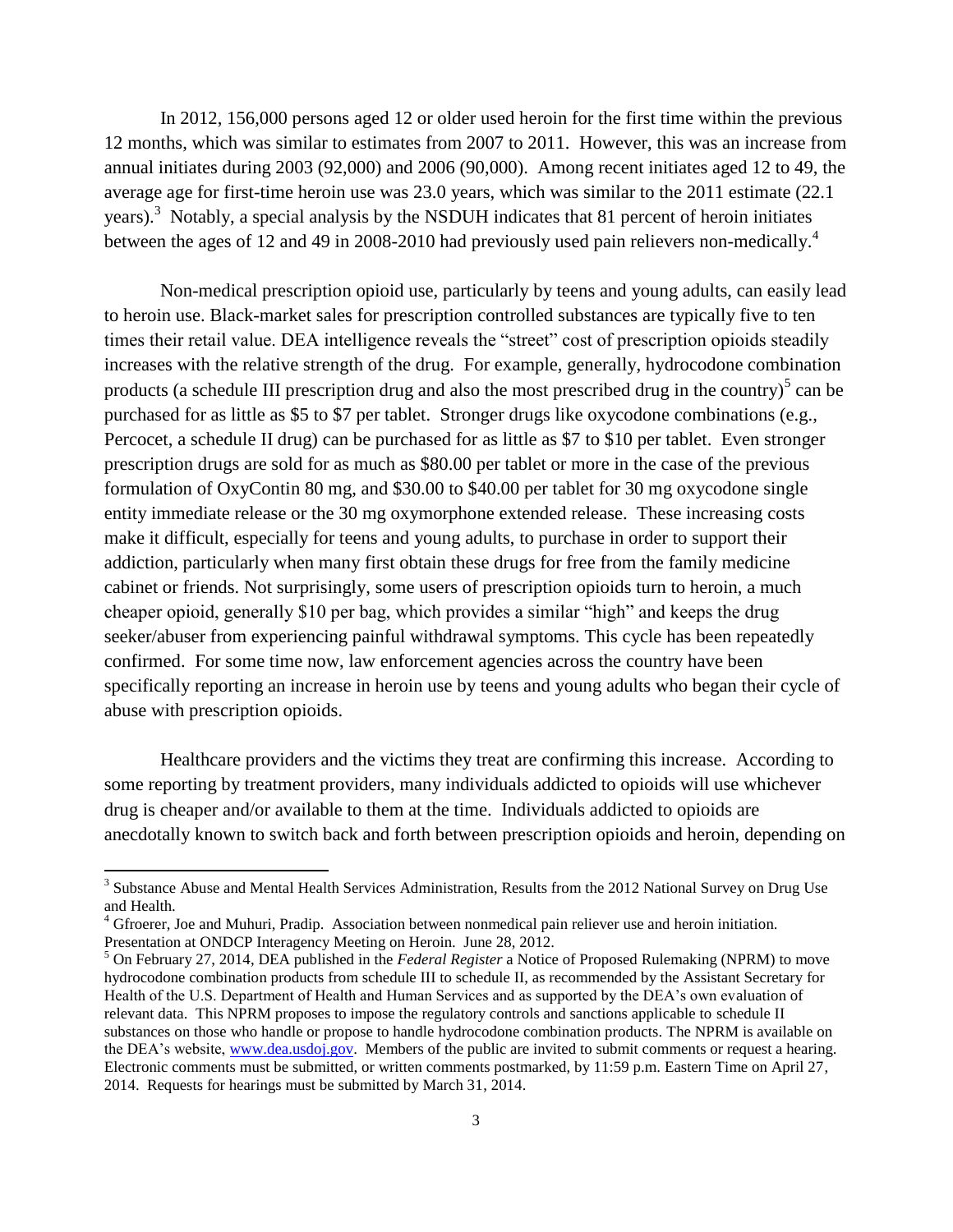In 2012, 156,000 persons aged 12 or older used heroin for the first time within the previous 12 months, which was similar to estimates from 2007 to 2011. However, this was an increase from annual initiates during 2003 (92,000) and 2006 (90,000). Among recent initiates aged 12 to 49, the average age for first-time heroin use was 23.0 years, which was similar to the 2011 estimate (22.1 years).<sup>3</sup> Notably, a special analysis by the NSDUH indicates that 81 percent of heroin initiates between the ages of 12 and 49 in 2008-2010 had previously used pain relievers non-medically.<sup>4</sup>

Non-medical prescription opioid use, particularly by teens and young adults, can easily lead to heroin use. Black-market sales for prescription controlled substances are typically five to ten times their retail value. DEA intelligence reveals the "street" cost of prescription opioids steadily increases with the relative strength of the drug. For example, generally, hydrocodone combination products (a schedule III prescription drug and also the most prescribed drug in the country)<sup>5</sup> can be purchased for as little as \$5 to \$7 per tablet. Stronger drugs like oxycodone combinations (e.g., Percocet, a schedule II drug) can be purchased for as little as \$7 to \$10 per tablet. Even stronger prescription drugs are sold for as much as \$80.00 per tablet or more in the case of the previous formulation of OxyContin 80 mg, and \$30.00 to \$40.00 per tablet for 30 mg oxycodone single entity immediate release or the 30 mg oxymorphone extended release. These increasing costs make it difficult, especially for teens and young adults, to purchase in order to support their addiction, particularly when many first obtain these drugs for free from the family medicine cabinet or friends. Not surprisingly, some users of prescription opioids turn to heroin, a much cheaper opioid, generally \$10 per bag, which provides a similar "high" and keeps the drug seeker/abuser from experiencing painful withdrawal symptoms. This cycle has been repeatedly confirmed. For some time now, law enforcement agencies across the country have been specifically reporting an increase in heroin use by teens and young adults who began their cycle of abuse with prescription opioids.

Healthcare providers and the victims they treat are confirming this increase. According to some reporting by treatment providers, many individuals addicted to opioids will use whichever drug is cheaper and/or available to them at the time. Individuals addicted to opioids are anecdotally known to switch back and forth between prescription opioids and heroin, depending on

 $\overline{a}$ 

<sup>&</sup>lt;sup>3</sup> Substance Abuse and Mental Health Services Administration, Results from the 2012 National Survey on Drug Use and Health.

<sup>4</sup> Gfroerer, Joe and Muhuri, Pradip. Association between nonmedical pain reliever use and heroin initiation. Presentation at ONDCP Interagency Meeting on Heroin. June 28, 2012.

<sup>5</sup> On February 27, 2014, DEA published in the *Federal Register* a Notice of Proposed Rulemaking (NPRM) to move hydrocodone combination products from schedule III to schedule II, as recommended by the Assistant Secretary for Health of the U.S. Department of Health and Human Services and as supported by the DEA's own evaluation of relevant data. This NPRM proposes to impose the regulatory controls and sanctions applicable to schedule II substances on those who handle or propose to handle hydrocodone combination products. The NPRM is available on the DEA's website, [www.dea.usdoj.gov.](http://www.dea.usdoj.gov/) Members of the public are invited to submit comments or request a hearing. Electronic comments must be submitted, or written comments postmarked, by 11:59 p.m. Eastern Time on April 27, 2014. Requests for hearings must be submitted by March 31, 2014.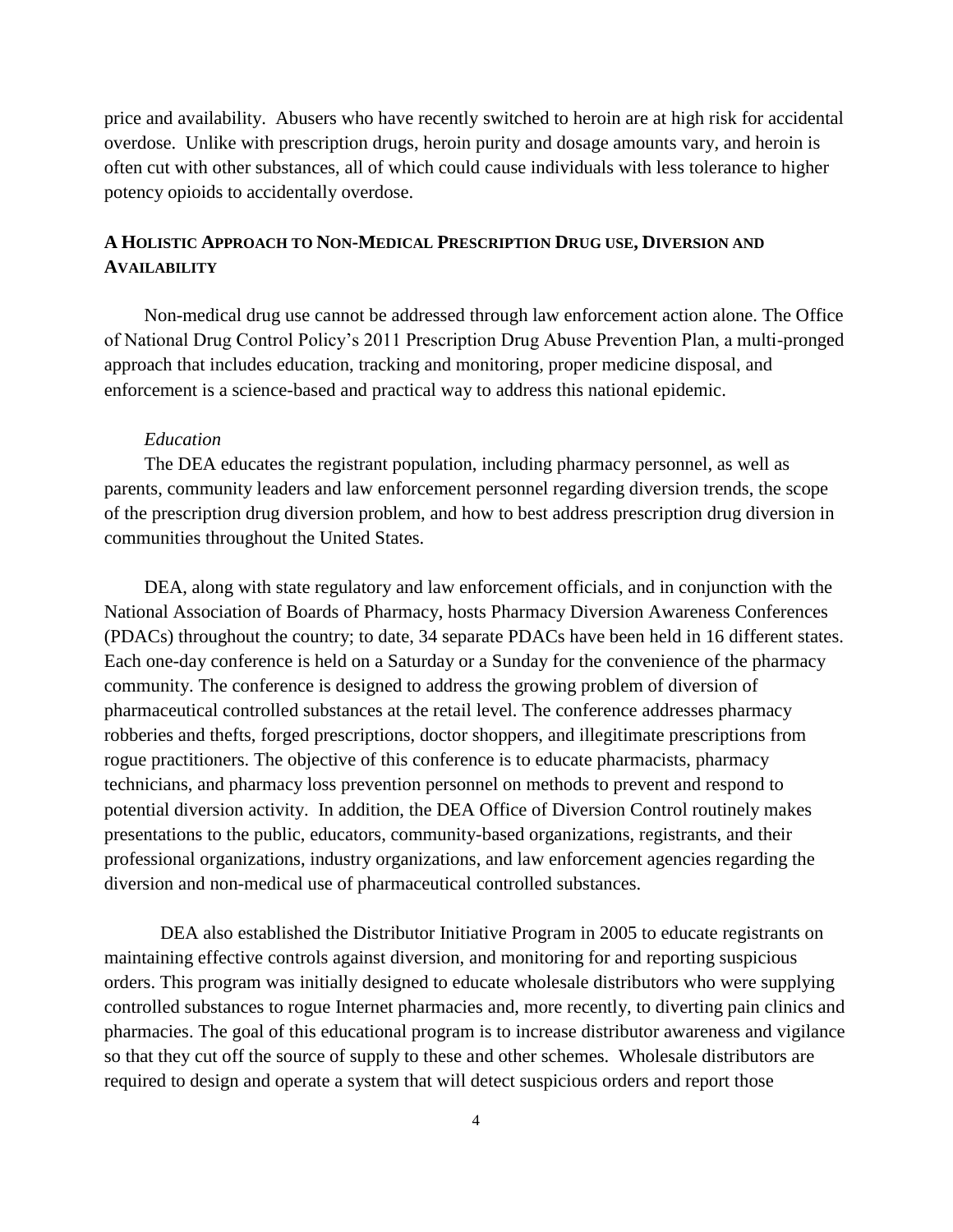price and availability. Abusers who have recently switched to heroin are at high risk for accidental overdose. Unlike with prescription drugs, heroin purity and dosage amounts vary, and heroin is often cut with other substances, all of which could cause individuals with less tolerance to higher potency opioids to accidentally overdose.

## **A HOLISTIC APPROACH TO NON-MEDICAL PRESCRIPTION DRUG USE, DIVERSION AND AVAILABILITY**

Non-medical drug use cannot be addressed through law enforcement action alone. The Office of National Drug Control Policy's 2011 Prescription Drug Abuse Prevention Plan, a multi-pronged approach that includes education, tracking and monitoring, proper medicine disposal, and enforcement is a science-based and practical way to address this national epidemic.

## *Education*

The DEA educates the registrant population, including pharmacy personnel, as well as parents, community leaders and law enforcement personnel regarding diversion trends, the scope of the prescription drug diversion problem, and how to best address prescription drug diversion in communities throughout the United States.

DEA, along with state regulatory and law enforcement officials, and in conjunction with the National Association of Boards of Pharmacy, hosts Pharmacy Diversion Awareness Conferences (PDACs) throughout the country; to date, 34 separate PDACs have been held in 16 different states. Each one-day conference is held on a Saturday or a Sunday for the convenience of the pharmacy community. The conference is designed to address the growing problem of diversion of pharmaceutical controlled substances at the retail level. The conference addresses pharmacy robberies and thefts, forged prescriptions, doctor shoppers, and illegitimate prescriptions from rogue practitioners. The objective of this conference is to educate pharmacists, pharmacy technicians, and pharmacy loss prevention personnel on methods to prevent and respond to potential diversion activity. In addition, the DEA Office of Diversion Control routinely makes presentations to the public, educators, community-based organizations, registrants, and their professional organizations, industry organizations, and law enforcement agencies regarding the diversion and non-medical use of pharmaceutical controlled substances.

DEA also established the Distributor Initiative Program in 2005 to educate registrants on maintaining effective controls against diversion, and monitoring for and reporting suspicious orders. This program was initially designed to educate wholesale distributors who were supplying controlled substances to rogue Internet pharmacies and, more recently, to diverting pain clinics and pharmacies. The goal of this educational program is to increase distributor awareness and vigilance so that they cut off the source of supply to these and other schemes. Wholesale distributors are required to design and operate a system that will detect suspicious orders and report those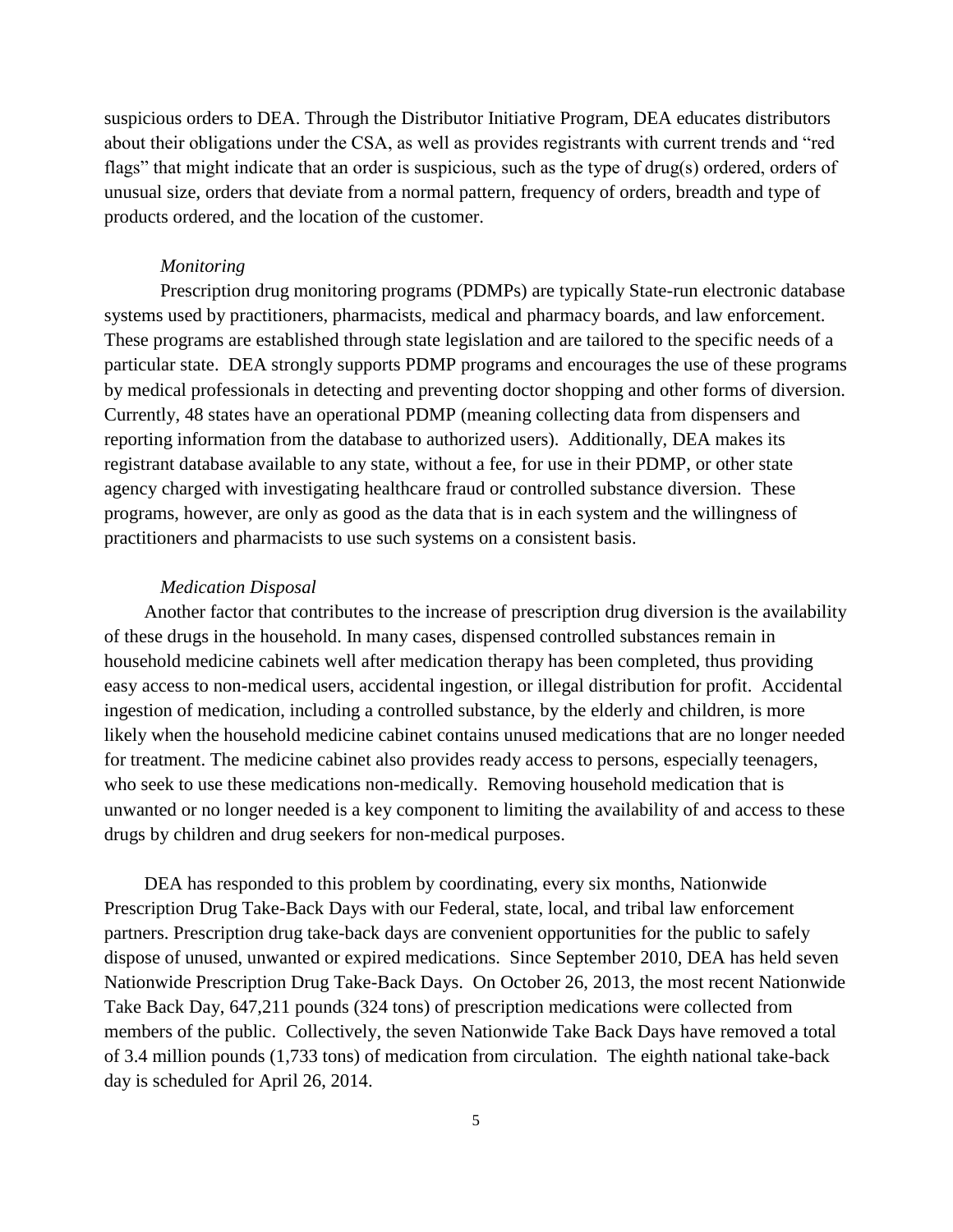suspicious orders to DEA. Through the Distributor Initiative Program, DEA educates distributors about their obligations under the CSA, as well as provides registrants with current trends and "red flags" that might indicate that an order is suspicious, such as the type of drug(s) ordered, orders of unusual size, orders that deviate from a normal pattern, frequency of orders, breadth and type of products ordered, and the location of the customer.

#### *Monitoring*

Prescription drug monitoring programs (PDMPs) are typically State-run electronic database systems used by practitioners, pharmacists, medical and pharmacy boards, and law enforcement. These programs are established through state legislation and are tailored to the specific needs of a particular state. DEA strongly supports PDMP programs and encourages the use of these programs by medical professionals in detecting and preventing doctor shopping and other forms of diversion. Currently, 48 states have an operational PDMP (meaning collecting data from dispensers and reporting information from the database to authorized users). Additionally, DEA makes its registrant database available to any state, without a fee, for use in their PDMP, or other state agency charged with investigating healthcare fraud or controlled substance diversion. These programs, however, are only as good as the data that is in each system and the willingness of practitioners and pharmacists to use such systems on a consistent basis.

#### *Medication Disposal*

Another factor that contributes to the increase of prescription drug diversion is the availability of these drugs in the household. In many cases, dispensed controlled substances remain in household medicine cabinets well after medication therapy has been completed, thus providing easy access to non-medical users, accidental ingestion, or illegal distribution for profit. Accidental ingestion of medication, including a controlled substance, by the elderly and children, is more likely when the household medicine cabinet contains unused medications that are no longer needed for treatment. The medicine cabinet also provides ready access to persons, especially teenagers, who seek to use these medications non-medically. Removing household medication that is unwanted or no longer needed is a key component to limiting the availability of and access to these drugs by children and drug seekers for non-medical purposes.

DEA has responded to this problem by coordinating, every six months, Nationwide Prescription Drug Take-Back Days with our Federal, state, local, and tribal law enforcement partners. Prescription drug take-back days are convenient opportunities for the public to safely dispose of unused, unwanted or expired medications. Since September 2010, DEA has held seven Nationwide Prescription Drug Take-Back Days. On October 26, 2013, the most recent Nationwide Take Back Day, 647,211 pounds (324 tons) of prescription medications were collected from members of the public. Collectively, the seven Nationwide Take Back Days have removed a total of 3.4 million pounds (1,733 tons) of medication from circulation. The eighth national take-back day is scheduled for April 26, 2014.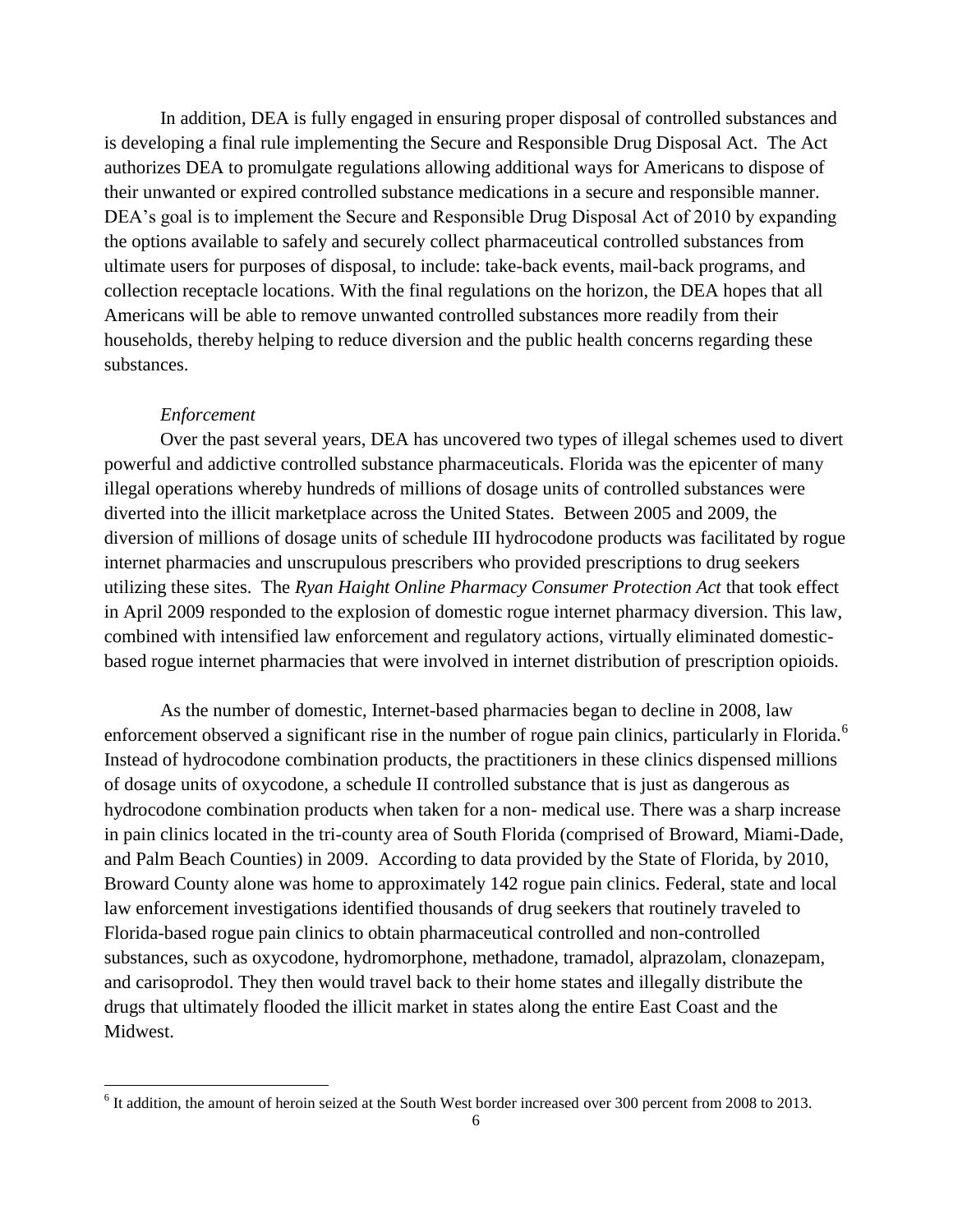In addition, DEA is fully engaged in ensuring proper disposal of controlled substances and is developing a final rule implementing the Secure and Responsible Drug Disposal Act. The Act authorizes DEA to promulgate regulations allowing additional ways for Americans to dispose of their unwanted or expired controlled substance medications in a secure and responsible manner. DEA's goal is to implement the Secure and Responsible Drug Disposal Act of 2010 by expanding the options available to safely and securely collect pharmaceutical controlled substances from ultimate users for purposes of disposal, to include: take-back events, mail-back programs, and collection receptacle locations. With the final regulations on the horizon, the DEA hopes that all Americans will be able to remove unwanted controlled substances more readily from their households, thereby helping to reduce diversion and the public health concerns regarding these substances.

## *Enforcement*

 $\overline{a}$ 

Over the past several years, DEA has uncovered two types of illegal schemes used to divert powerful and addictive controlled substance pharmaceuticals. Florida was the epicenter of many illegal operations whereby hundreds of millions of dosage units of controlled substances were diverted into the illicit marketplace across the United States. Between 2005 and 2009, the diversion of millions of dosage units of schedule III hydrocodone products was facilitated by rogue internet pharmacies and unscrupulous prescribers who provided prescriptions to drug seekers utilizing these sites. The *Ryan Haight Online Pharmacy Consumer Protection Act* that took effect in April 2009 responded to the explosion of domestic rogue internet pharmacy diversion. This law, combined with intensified law enforcement and regulatory actions, virtually eliminated domesticbased rogue internet pharmacies that were involved in internet distribution of prescription opioids.

As the number of domestic, Internet-based pharmacies began to decline in 2008, law enforcement observed a significant rise in the number of rogue pain clinics, particularly in Florida.<sup>6</sup> Instead of hydrocodone combination products, the practitioners in these clinics dispensed millions of dosage units of oxycodone, a schedule II controlled substance that is just as dangerous as hydrocodone combination products when taken for a non- medical use. There was a sharp increase in pain clinics located in the tri-county area of South Florida (comprised of Broward, Miami-Dade, and Palm Beach Counties) in 2009. According to data provided by the State of Florida, by 2010, Broward County alone was home to approximately 142 rogue pain clinics. Federal, state and local law enforcement investigations identified thousands of drug seekers that routinely traveled to Florida-based rogue pain clinics to obtain pharmaceutical controlled and non-controlled substances, such as oxycodone, hydromorphone, methadone, tramadol, alprazolam, clonazepam, and carisoprodol. They then would travel back to their home states and illegally distribute the drugs that ultimately flooded the illicit market in states along the entire East Coast and the Midwest.

 $6$  It addition, the amount of heroin seized at the South West border increased over 300 percent from 2008 to 2013.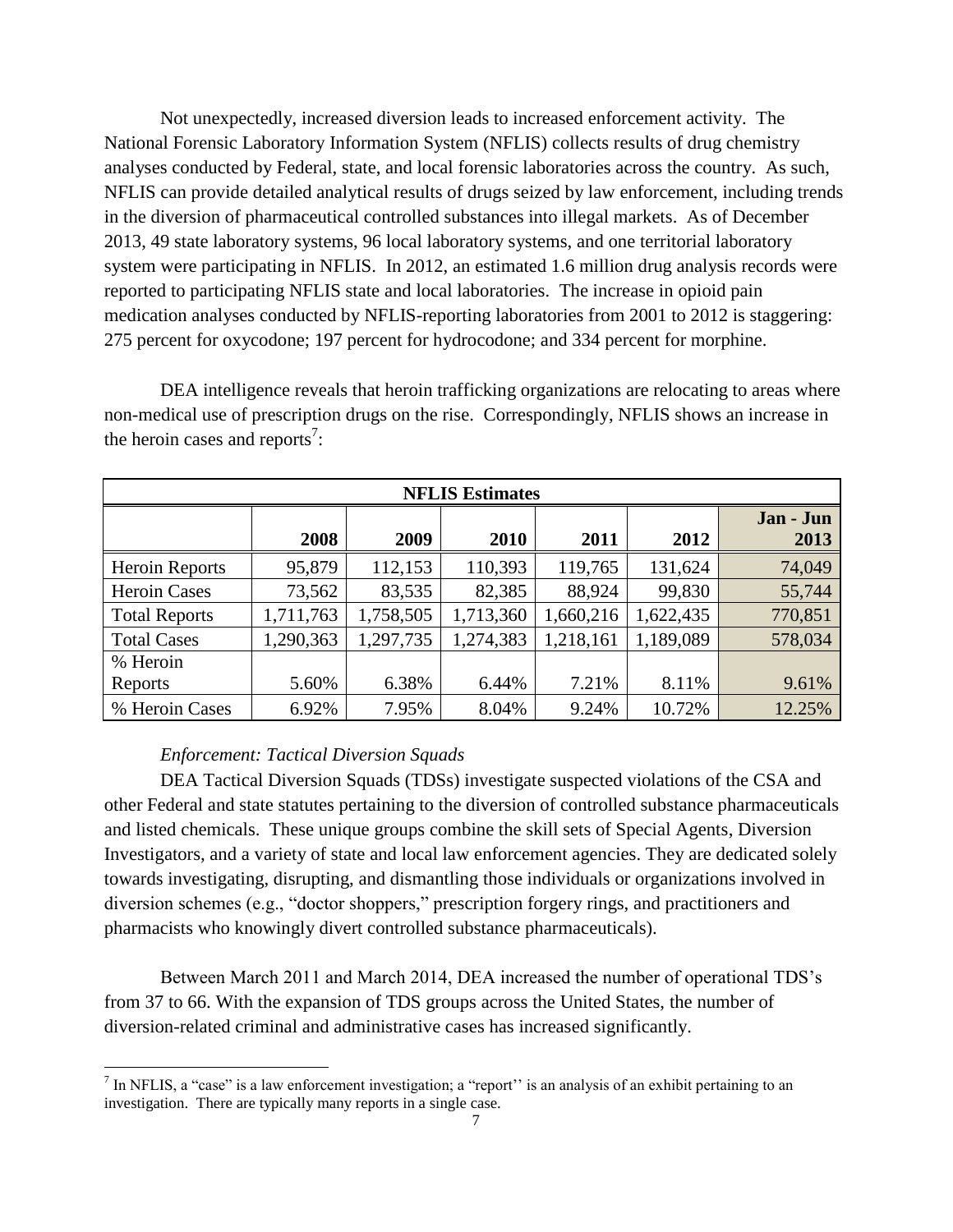Not unexpectedly, increased diversion leads to increased enforcement activity. The National Forensic Laboratory Information System (NFLIS) collects results of drug chemistry analyses conducted by Federal, state, and local forensic laboratories across the country. As such, NFLIS can provide detailed analytical results of drugs seized by law enforcement, including trends in the diversion of pharmaceutical controlled substances into illegal markets. As of December 2013, 49 state laboratory systems, 96 local laboratory systems, and one territorial laboratory system were participating in NFLIS. In 2012, an estimated 1.6 million drug analysis records were reported to participating NFLIS state and local laboratories. The increase in opioid pain medication analyses conducted by NFLIS-reporting laboratories from 2001 to 2012 is staggering: 275 percent for oxycodone; 197 percent for hydrocodone; and 334 percent for morphine.

DEA intelligence reveals that heroin trafficking organizations are relocating to areas where non-medical use of prescription drugs on the rise. Correspondingly, NFLIS shows an increase in the heroin cases and reports<sup>7</sup>:

| <b>NFLIS</b> Estimates |           |           |           |           |           |                   |
|------------------------|-----------|-----------|-----------|-----------|-----------|-------------------|
|                        | 2008      | 2009      | 2010      | 2011      | 2012      | Jan - Jun<br>2013 |
| Heroin Reports         | 95,879    | 112,153   | 110,393   | 119,765   | 131,624   | 74,049            |
| <b>Heroin Cases</b>    | 73,562    | 83,535    | 82,385    | 88,924    | 99,830    | 55,744            |
| <b>Total Reports</b>   | 1,711,763 | 1,758,505 | 1,713,360 | 1,660,216 | 1,622,435 | 770,851           |
| <b>Total Cases</b>     | 1,290,363 | 1,297,735 | 1,274,383 | 1,218,161 | 1,189,089 | 578,034           |
| % Heroin               |           |           |           |           |           |                   |
| Reports                | 5.60%     | 6.38%     | 6.44%     | 7.21%     | 8.11%     | 9.61%             |
| % Heroin Cases         | 6.92%     | 7.95%     | 8.04%     | 9.24%     | 10.72%    | 12.25%            |

## *Enforcement: Tactical Diversion Squads*

DEA Tactical Diversion Squads (TDSs) investigate suspected violations of the CSA and other Federal and state statutes pertaining to the diversion of controlled substance pharmaceuticals and listed chemicals. These unique groups combine the skill sets of Special Agents, Diversion Investigators, and a variety of state and local law enforcement agencies. They are dedicated solely towards investigating, disrupting, and dismantling those individuals or organizations involved in diversion schemes (e.g., "doctor shoppers," prescription forgery rings, and practitioners and pharmacists who knowingly divert controlled substance pharmaceuticals).

Between March 2011 and March 2014, DEA increased the number of operational TDS's from 37 to 66. With the expansion of TDS groups across the United States, the number of diversion-related criminal and administrative cases has increased significantly.

<sup>&</sup>lt;sup>7</sup> In NFLIS, a "case" is a law enforcement investigation; a "report" is an analysis of an exhibit pertaining to an investigation. There are typically many reports in a single case.